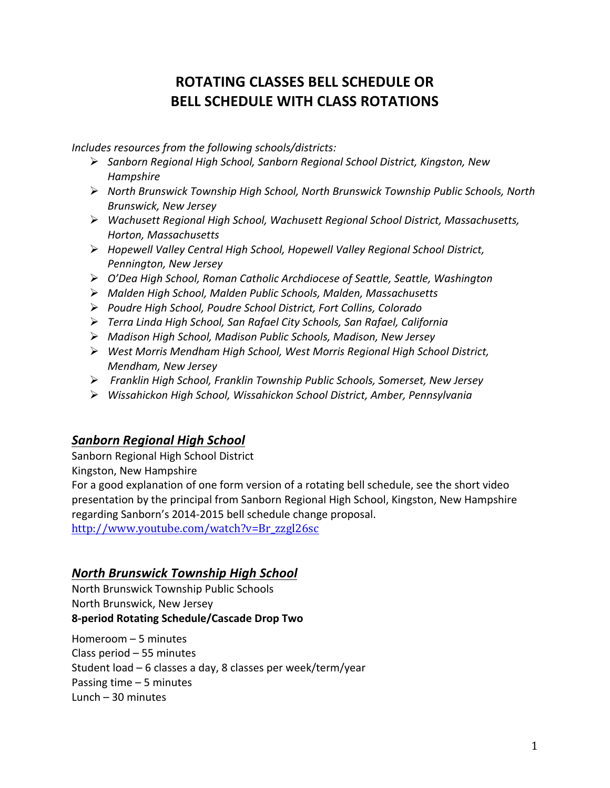# **ROTATING CLASSES BELL SCHEDULE OR BELL SCHEDULE WITH CLASS ROTATIONS**

Includes resources from the following schools/districts:

- Ø *Sanborn Regional High School, Sanborn Regional School District, Kingston, New Hampshire*
- Ø *North Brunswick Township High School, North Brunswick Township Public Schools, North Brunswick, New Jersey*
- Ø *Wachusett Regional High School, Wachusett Regional School District, Massachusetts, Horton, Massachusetts*
- Ø *Hopewell Valley Central High School, Hopewell Valley Regional School District,*  **Pennington, New Jersey**
- Ø *O'Dea High School, Roman Catholic Archdiocese of Seattle, Seattle, Washington*
- Ø *Malden High School, Malden Public Schools, Malden, Massachusetts*
- Ø *Poudre High School, Poudre School District, Fort Collins, Colorado*
- Ø *Terra Linda High School, San Rafael City Schools, San Rafael, California*
- Ø *Madison High School, Madison Public Schools, Madison, New Jersey*
- Ø *West Morris Mendham High School, West Morris Regional High School District, Mendham, New Jersey*
- Ø *Franklin High School, Franklin Township Public Schools, Somerset, New Jersey*
- Ø *Wissahickon High School, Wissahickon School District, Amber, Pennsylvania*

# *Sanborn Regional High School*

Sanborn Regional High School District

Kingston, New Hampshire

For a good explanation of one form version of a rotating bell schedule, see the short video presentation by the principal from Sanborn Regional High School, Kingston, New Hampshire regarding Sanborn's 2014-2015 bell schedule change proposal.

http://www.youtube.com/watch?v=Br\_zzgl26sc

#### *North Brunswick Township High School*

North Brunswick Township Public Schools North Brunswick, New Jersey **8-period Rotating Schedule/Cascade Drop Two**

Homeroom  $-5$  minutes Class period  $-55$  minutes Student  $load - 6$  classes a day, 8 classes per week/term/year Passing time  $-5$  minutes Lunch  $-30$  minutes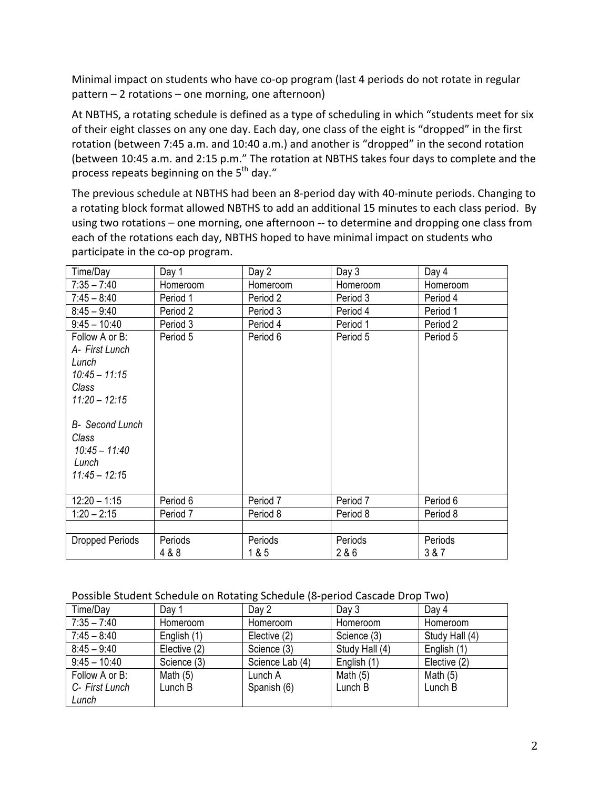Minimal impact on students who have co-op program (last 4 periods do not rotate in regular  $pattern - 2 rotations - one morning, one afternoon)$ 

At NBTHS, a rotating schedule is defined as a type of scheduling in which "students meet for six of their eight classes on any one day. Each day, one class of the eight is "dropped" in the first rotation (between 7:45 a.m. and 10:40 a.m.) and another is "dropped" in the second rotation (between 10:45 a.m. and 2:15 p.m." The rotation at NBTHS takes four days to complete and the process repeats beginning on the  $5<sup>th</sup>$  day."

The previous schedule at NBTHS had been an 8-period day with 40-minute periods. Changing to a rotating block format allowed NBTHS to add an additional 15 minutes to each class period. By using two rotations – one morning, one afternoon -- to determine and dropping one class from each of the rotations each day, NBTHS hoped to have minimal impact on students who participate in the co-op program.

| Time/Day                                                                                 | Day 1            | Day 2            | Day 3            | Day 4            |
|------------------------------------------------------------------------------------------|------------------|------------------|------------------|------------------|
| $7:35 - 7:40$                                                                            | Homeroom         | Homeroom         | Homeroom         | Homeroom         |
| $7:45 - 8:40$                                                                            | Period 1         | Period 2         | Period 3         | Period 4         |
| $8:45 - 9:40$                                                                            | Period 2         | Period 3         | Period 4         | Period 1         |
| $9:45 - 10:40$                                                                           | Period 3         | Period 4         | Period 1         | Period 2         |
| Follow A or B:<br>A- First Lunch<br>Lunch<br>$10:45 - 11:15$<br>Class<br>$11:20 - 12:15$ | Period 5         | Period 6         | Period 5         | Period 5         |
| <b>B-</b> Second Lunch<br>Class<br>$10:45 - 11:40$<br>Lunch<br>$11.45 - 12.15$           |                  |                  |                  |                  |
| $12:20 - 1:15$                                                                           | Period 6         | Period 7         | Period 7         | Period 6         |
| $1:20 - 2:15$                                                                            | Period 7         | Period 8         | Period 8         | Period 8         |
|                                                                                          |                  |                  |                  |                  |
| Dropped Periods                                                                          | Periods<br>4 & 8 | Periods<br>1 & 5 | Periods<br>2 & 6 | Periods<br>3 & 7 |

#### Possible Student Schedule on Rotating Schedule (8-period Cascade Drop Two)

| Time/Day       | Day 1        | Day 2           | Day 3          | Day 4          |
|----------------|--------------|-----------------|----------------|----------------|
| $7:35 - 7:40$  | Homeroom     | Homeroom        | Homeroom       | Homeroom       |
| $7:45 - 8:40$  | English (1)  | Elective (2)    | Science (3)    | Study Hall (4) |
| $8:45 - 9:40$  | Elective (2) | Science (3)     | Study Hall (4) | English (1)    |
| $9:45 - 10:40$ | Science (3)  | Science Lab (4) | English (1)    | Elective (2)   |
| Follow A or B: | Math $(5)$   | Lunch A         | Math $(5)$     | Math $(5)$     |
| C- First Lunch | Lunch B      | Spanish (6)     | Lunch B        | Lunch B        |
| Lunch          |              |                 |                |                |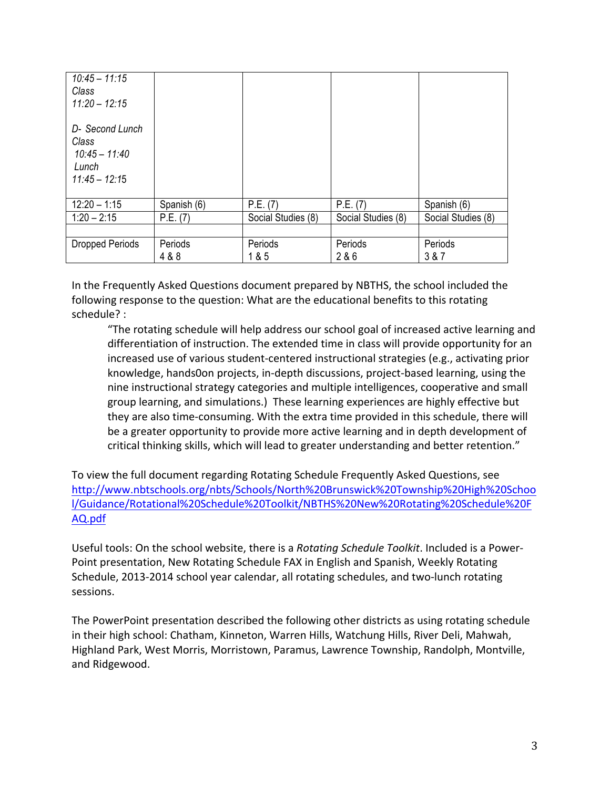| $10:45 - 11:15$<br>Class<br>$11.20 - 12.15$                             |             |                    |                    |                    |
|-------------------------------------------------------------------------|-------------|--------------------|--------------------|--------------------|
| D- Second Lunch<br>Class<br>$10:45 - 11:40$<br>Lunch<br>$11.45 - 12.15$ |             |                    |                    |                    |
| $12:20 - 1:15$                                                          | Spanish (6) | P.E. (7)           | P.E. (7)           | Spanish (6)        |
| $1:20 - 2:15$                                                           | P.E. (7)    | Social Studies (8) | Social Studies (8) | Social Studies (8) |
|                                                                         |             |                    |                    |                    |
| <b>Dropped Periods</b>                                                  | Periods     | Periods            | Periods            | Periods            |
|                                                                         | 4 & 8       | 1 & 5              | 2 & 6              | 3 & 7              |

In the Frequently Asked Questions document prepared by NBTHS, the school included the following response to the question: What are the educational benefits to this rotating schedule? :

"The rotating schedule will help address our school goal of increased active learning and differentiation of instruction. The extended time in class will provide opportunity for an increased use of various student-centered instructional strategies (e.g., activating prior knowledge, hands0on projects, in-depth discussions, project-based learning, using the nine instructional strategy categories and multiple intelligences, cooperative and small group learning, and simulations.) These learning experiences are highly effective but they are also time-consuming. With the extra time provided in this schedule, there will be a greater opportunity to provide more active learning and in depth development of critical thinking skills, which will lead to greater understanding and better retention."

To view the full document regarding Rotating Schedule Frequently Asked Questions, see http://www.nbtschools.org/nbts/Schools/North%20Brunswick%20Township%20High%20Schoo l/Guidance/Rotational%20Schedule%20Toolkit/NBTHS%20New%20Rotating%20Schedule%20F AQ.pdf

Useful tools: On the school website, there is a *Rotating Schedule Toolkit*. Included is a Power-Point presentation, New Rotating Schedule FAX in English and Spanish, Weekly Rotating Schedule, 2013-2014 school year calendar, all rotating schedules, and two-lunch rotating sessions.

The PowerPoint presentation described the following other districts as using rotating schedule in their high school: Chatham, Kinneton, Warren Hills, Watchung Hills, River Deli, Mahwah, Highland Park, West Morris, Morristown, Paramus, Lawrence Township, Randolph, Montville, and Ridgewood.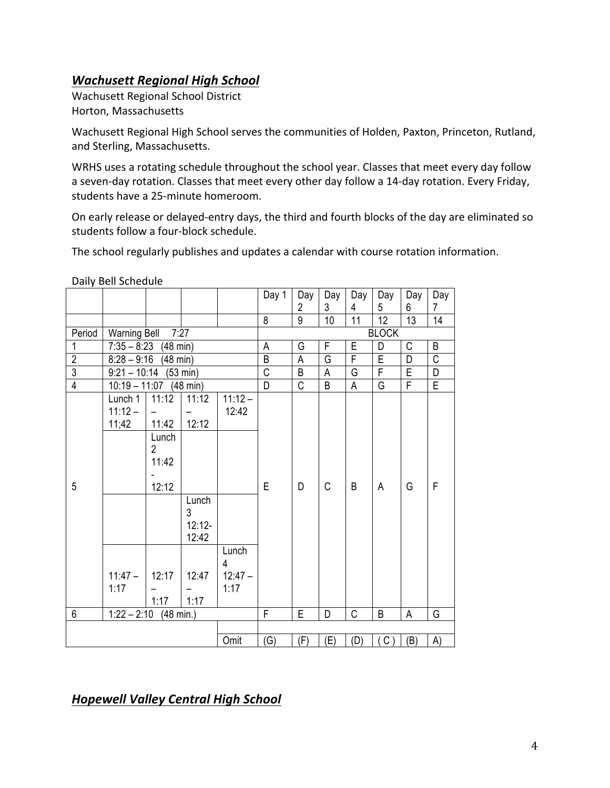# **Wachusett Regional High School**

Wachusett Regional School District Horton, Massachusetts

Wachusett Regional High School serves the communities of Holden, Paxton, Princeton, Rutland, and Sterling, Massachusetts.

WRHS uses a rotating schedule throughout the school year. Classes that meet every day follow a seven-day rotation. Classes that meet every other day follow a 14-day rotation. Every Friday, students have a 25-minute homeroom.

On early release or delayed-entry days, the third and fourth blocks of the day are eliminated so students follow a four-block schedule.

The school regularly publishes and updates a calendar with course rotation information.

Daily Bell Schedule

|                 |                               |                                                    |                   |                    | Day 1          | Day            | Day | Day                     | Day             | Day             | Day                   |
|-----------------|-------------------------------|----------------------------------------------------|-------------------|--------------------|----------------|----------------|-----|-------------------------|-----------------|-----------------|-----------------------|
|                 |                               |                                                    |                   |                    |                | 2              | 3   | 4                       | 5               | 6               | 7                     |
|                 |                               |                                                    |                   |                    | 8              | $\overline{9}$ | 10  | $\overline{11}$         | $\overline{12}$ | $\overline{13}$ | $\overline{14}$       |
| Period          | 7:27<br><b>Warning Bell</b>   |                                                    |                   |                    | A              |                |     |                         | <b>BLOCK</b>    |                 |                       |
| 1               |                               | $7:35 - 8:23$<br>$(48 \text{ min})$                |                   |                    |                | G              | F   | E                       | D               | C               | B                     |
| $\overline{2}$  | $8:28 - 9:16$                 | $(48 \text{ min})$                                 |                   |                    | $\sf B$        | A              | G   | $\overline{\mathsf{F}}$ | E               | D               | $\overline{\text{c}}$ |
| $\overline{3}$  | $9:21 - 10:14$                |                                                    | (53 min)          |                    | $\overline{C}$ | B              | A   | G                       | $\overline{F}$  | E               | D                     |
| $\overline{4}$  | $10:19 - 11:07$ (48 min)      |                                                    |                   |                    | D              | $\mathsf{C}$   | B   | A                       | G               | F               | E                     |
|                 | Lunch 1<br>$11:12 -$<br>11;42 | 11:12<br>11:42<br>Lunch<br>$\overline{2}$<br>11:42 | 11:12<br>12:12    | $11:12 -$<br>12:42 |                |                |     |                         |                 |                 |                       |
| 5               |                               | 12:12                                              | Lunch<br>3        |                    | E              | D              | C   | B                       | A               | G               | F                     |
|                 |                               |                                                    | $12:12-$<br>12:42 |                    |                |                |     |                         |                 |                 |                       |
|                 |                               |                                                    |                   | Lunch<br>4         |                |                |     |                         |                 |                 |                       |
|                 | $11:47 -$<br>1:17             | 12:17<br>1:17                                      | 12:47<br>1:17     | $12:47 -$<br>1:17  |                |                |     |                         |                 |                 |                       |
| $6\phantom{1}6$ | $1:22 - 2:10$                 | (48 min.)                                          |                   |                    | F              | E              | D   | C                       | B               | A               | G                     |
|                 |                               |                                                    |                   |                    |                |                |     |                         |                 |                 |                       |
|                 |                               |                                                    |                   | Omit               | (G)            | (F)            | (E) | (D)                     | C()             | (B)             | A)                    |

*Hopewell Valley Central High School*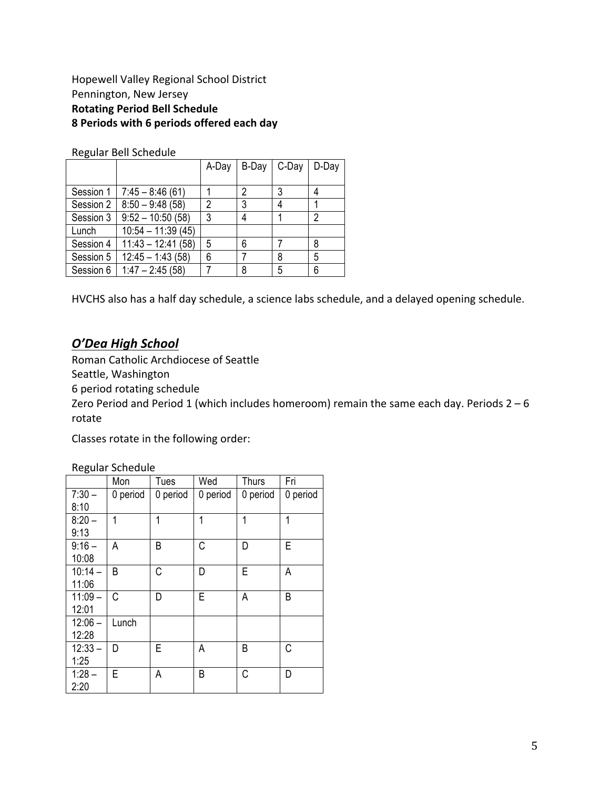#### Hopewell Valley Regional School District Pennington, New Jersey **Rotating Period Bell Schedule 8 Periods with 6 periods offered each day**

Regular Bell Schedule 

| ີ         |                     | A-Day | B-Day | C-Day | D-Day |
|-----------|---------------------|-------|-------|-------|-------|
| Session 1 | $7:45 - 8:46(61)$   |       | 2     |       | 4     |
| Session 2 | $8:50 - 9:48(58)$   | 2     | 3     |       |       |
| Session 3 | $9:52 - 10:50(58)$  | 3     |       |       | 2     |
| Lunch     | $10:54 - 11:39(45)$ |       |       |       |       |
| Session 4 | $11:43 - 12:41(58)$ | 5     | 6     |       | 8     |
| Session 5 | $12:45 - 1:43(58)$  | 6     |       | 8     | 5     |
| Session 6 | $1:47 - 2:45(58)$   |       | ጸ     | 5     | 6     |

HVCHS also has a half day schedule, a science labs schedule, and a delayed opening schedule.

#### *O'Dea High School*

Roman Catholic Archdiocese of Seattle

Seattle, Washington

6 period rotating schedule 

Zero Period and Period 1 (which includes homeroom) remain the same each day. Periods  $2-6$ rotate

Classes rotate in the following order:

Regular Schedule

|           | Mon      | Tues     | Wed      | Thurs    | Fri      |
|-----------|----------|----------|----------|----------|----------|
| $7:30 -$  | 0 period | 0 period | 0 period | 0 period | 0 period |
| 8:10      |          |          |          |          |          |
| $8:20 -$  | 1        | 1        | 1        | 1        | 1        |
| 9:13      |          |          |          |          |          |
| $9:16 -$  | A        | B        | C        | D        | E        |
| 10:08     |          |          |          |          |          |
| $10:14 -$ | B        | C        | D        | E        | А        |
| 11:06     |          |          |          |          |          |
| $11:09 -$ | C        | D        | Е        | А        | B        |
| 12:01     |          |          |          |          |          |
| $12:06 -$ | Lunch    |          |          |          |          |
| 12:28     |          |          |          |          |          |
| $12:33 -$ | D        | E        | Α        | B        | C        |
| 1:25      |          |          |          |          |          |
| $1:28 -$  | E        | А        | B        | С        | D        |
| 2:20      |          |          |          |          |          |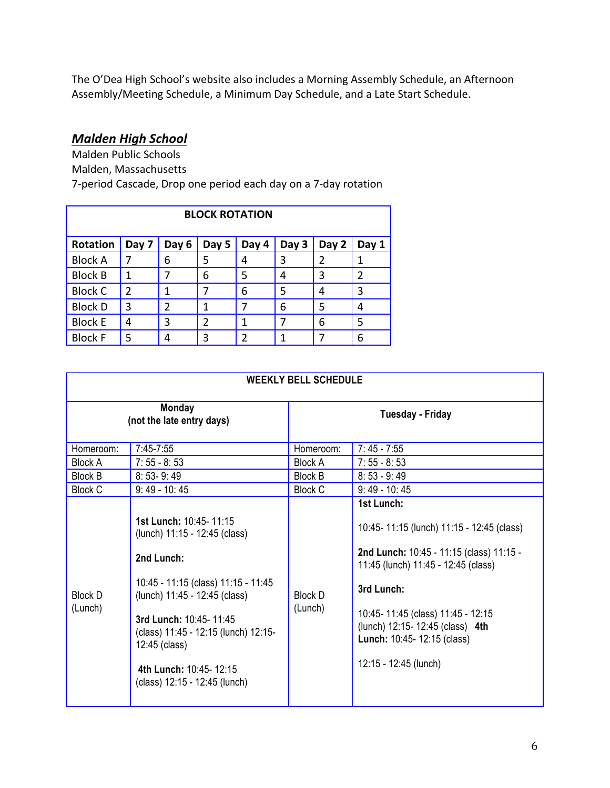The O'Dea High School's website also includes a Morning Assembly Schedule, an Afternoon Assembly/Meeting Schedule, a Minimum Day Schedule, and a Late Start Schedule.

# *Malden High School*

Malden Public Schools Malden, Massachusetts 7-period Cascade, Drop one period each day on a 7-day rotation

| <b>BLOCK ROTATION</b> |               |       |       |               |       |               |       |  |
|-----------------------|---------------|-------|-------|---------------|-------|---------------|-------|--|
| Rotation              | Day 7         | Day 6 | Day 5 | Day 4         | Day 3 | Day 2         | Day 1 |  |
| <b>Block A</b>        |               | 6     | 5     |               | 3     | $\mathcal{P}$ |       |  |
| <b>Block B</b>        |               |       | 6     | 5             | 4     | 3             | 2     |  |
| <b>Block C</b>        | $\mathcal{P}$ |       |       | 6             | 5     | 4             | 3     |  |
| <b>Block D</b>        | 3             | 2     |       |               | 6     | 5             |       |  |
| <b>Block E</b>        | 4             | 3     | 2     |               |       | 6             | 5     |  |
| <b>Block F</b>        | 5             |       | 3     | $\mathfrak z$ |       |               | 6     |  |

|                           | <b>WEEKLY BELL SCHEDULE</b>                                                                                                                                                                                                                                                                 |                    |                                                                                                                                                                                                                                                                                          |  |  |  |  |  |
|---------------------------|---------------------------------------------------------------------------------------------------------------------------------------------------------------------------------------------------------------------------------------------------------------------------------------------|--------------------|------------------------------------------------------------------------------------------------------------------------------------------------------------------------------------------------------------------------------------------------------------------------------------------|--|--|--|--|--|
|                           | <b>Monday</b><br>(not the late entry days)                                                                                                                                                                                                                                                  | Tuesday - Friday   |                                                                                                                                                                                                                                                                                          |  |  |  |  |  |
| Homeroom:                 | 7:45-7:55                                                                                                                                                                                                                                                                                   | Homeroom:          | $7:45 - 7:55$                                                                                                                                                                                                                                                                            |  |  |  |  |  |
| <b>Block A</b>            | $7:55 - 8:53$                                                                                                                                                                                                                                                                               | <b>Block A</b>     | $7:55 - 8:53$                                                                                                                                                                                                                                                                            |  |  |  |  |  |
| <b>Block B</b>            | $8:53-9:49$                                                                                                                                                                                                                                                                                 | <b>Block B</b>     | $8:53 - 9:49$                                                                                                                                                                                                                                                                            |  |  |  |  |  |
| <b>Block C</b>            | $9:49 - 10:45$                                                                                                                                                                                                                                                                              | <b>Block C</b>     | $9:49 - 10:45$                                                                                                                                                                                                                                                                           |  |  |  |  |  |
| <b>Block D</b><br>(Lunch) | 1st Lunch: 10:45-11:15<br>(lunch) 11:15 - 12:45 (class)<br>2nd Lunch:<br>10:45 - 11:15 (class) 11:15 - 11:45<br>(lunch) 11:45 - 12:45 (class)<br>3rd Lunch: 10:45-11:45<br>(class) 11:45 - 12:15 (lunch) 12:15-<br>12:45 (class)<br>4th Lunch: 10:45-12:15<br>(class) 12:15 - 12:45 (lunch) | Block D<br>(Lunch) | 1st Lunch:<br>10:45-11:15 (lunch) 11:15 - 12:45 (class)<br>2nd Lunch: 10:45 - 11:15 (class) 11:15 -<br>11:45 (lunch) 11:45 - 12:45 (class)<br>3rd Lunch:<br>10:45-11:45 (class) 11:45 - 12:15<br>(lunch) 12:15-12:45 (class) 4th<br>Lunch: 10:45- 12:15 (class)<br>12:15 - 12:45 (lunch) |  |  |  |  |  |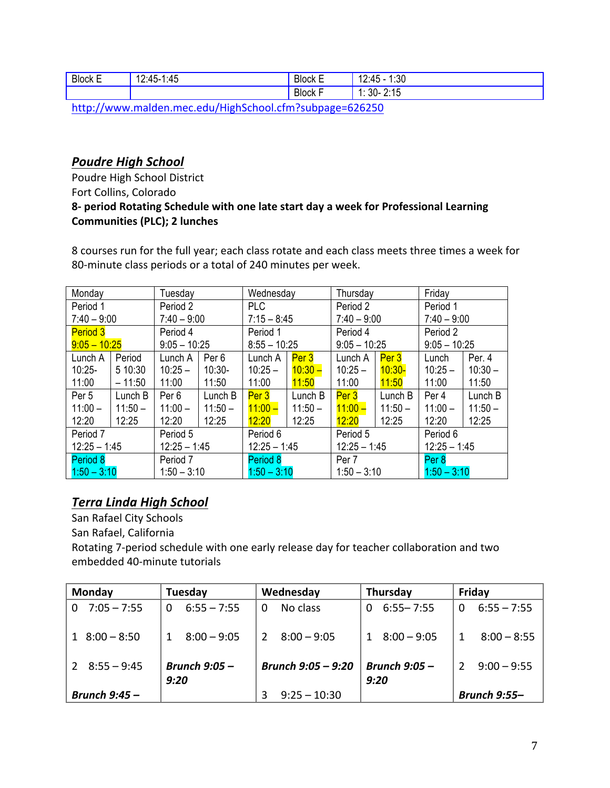| <b>Block E</b> | $\overline{ }$<br>$12.45 - 1.$<br>:45 | -<br><b>Block E</b><br>$ -$ | :30<br>$\overline{ }$<br>$\Lambda$<br>. л<br>۱Z.<br>ு |
|----------------|---------------------------------------|-----------------------------|-------------------------------------------------------|
|                |                                       | -<br><b>Block F</b><br>. .  | 3.4F<br>30 <sub>0</sub><br>л.<br><b>4.IV</b>          |

http://www.malden.mec.edu/HighSchool.cfm?subpage=626250

### **Poudre High School**

Poudre High School District Fort Collins, Colorado **8-** period Rotating Schedule with one late start day a week for Professional Learning **Communities (PLC); 2 lunches** 

8 courses run for the full year; each class rotate and each class meets three times a week for 80-minute class periods or a total of 240 minutes per week.

| Monday          | Tuesday                          |                | Wednesday        |                | Thursday       |                | Friday         |                |           |
|-----------------|----------------------------------|----------------|------------------|----------------|----------------|----------------|----------------|----------------|-----------|
| Period 1        | Period 2                         |                | <b>PLC</b>       |                | Period 2       |                | Period 1       |                |           |
| $7:40 - 9:00$   |                                  | $7:40 - 9:00$  |                  | $7:15 - 8:45$  |                | $7:40 - 9:00$  |                | $7:40 - 9:00$  |           |
| <b>Period 3</b> |                                  | Period 4       |                  | Period 1       |                | Period 4       |                | Period 2       |           |
| $9:05 - 10:25$  |                                  | $9:05 - 10:25$ |                  | $8:55 - 10:25$ |                | $9:05 - 10:25$ |                | $9:05 - 10:25$ |           |
| Lunch A         | Period                           | Lunch A        | Per <sub>6</sub> | Lunch A        | Per 3          | Lunch A        | Per 3          | Lunch          | Per. 4    |
| $10:25 -$       | 5 10:30                          | $10:25 -$      | $10:30-$         | $10:25 -$      | $10:30 -$      | $10:25 -$      | $10:30-$       | $10:25 -$      | $10:30 -$ |
| 11:00           | $-11:50$                         | 11:00          | 11:50            | 11:00          | 11:50          | 11:00          | 11:50          | 11:00          | 11:50     |
| Per 5           | Lunch B                          | Per 6          | Lunch B          | Per 3          | Lunch B        | Per 3          | Lunch B        | Per 4          | Lunch B   |
| $11:00 -$       | $11:50 -$                        | $11:00 -$      | $11:50 -$        | $11:00 -$      | $11:50 -$      | $11:00 -$      | $11:50 -$      | $11:00 -$      | $11:50 -$ |
| 12:20           | 12:25                            | 12:20          | 12:25            | 12:20          | 12:25          | 12:20          | 12:25          | 12:20          | 12:25     |
| Period 7        |                                  | Period 5       |                  | Period 6       |                | Period 5       |                | Period 6       |           |
|                 | $12:25 - 1:45$<br>$12:25 - 1:45$ |                | $12:25 - 1:45$   |                | $12:25 - 1:45$ |                | $12:25 - 1:45$ |                |           |
| Period 8        | Period 7                         |                | Period 8         |                | Per 7          |                | Per 8          |                |           |
| $1:50 - 3:10$   |                                  | $1:50 - 3:10$  |                  | $1:50 - 3:10$  |                | $1:50 - 3:10$  |                | $1:50 - 3:10$  |           |

# *Terra Linda High School*

San Rafael City Schools San Rafael, California Rotating 7-period schedule with one early release day for teacher collaboration and two embedded 40-minute tutorials

| Monday                | Tuesday                 | Wednesday            | Thursday                  | Friday                    |  |
|-----------------------|-------------------------|----------------------|---------------------------|---------------------------|--|
| $0$ 7:05 - 7:55       | $6:55 - 7:55$<br>0      | No class<br>0        | $6:55 - 7:55$<br>$\Omega$ | $6:55 - 7:55$<br>$\Omega$ |  |
| $1 \quad 8:00 - 8:50$ | $8:00 - 9:05$           | $8:00 - 9:05$        | $1 \quad 8:00 - 9:05$     | $8:00 - 8:55$             |  |
| $2 \quad 8:55 - 9:45$ | Brunch $9:05 -$<br>9:20 | Brunch $9:05 - 9:20$ | Brunch $9:05 -$<br>9:20   | $9:00 - 9:55$             |  |
| Brunch $9:45 -$       |                         | $9:25 - 10:30$       |                           | <b>Brunch 9:55-</b>       |  |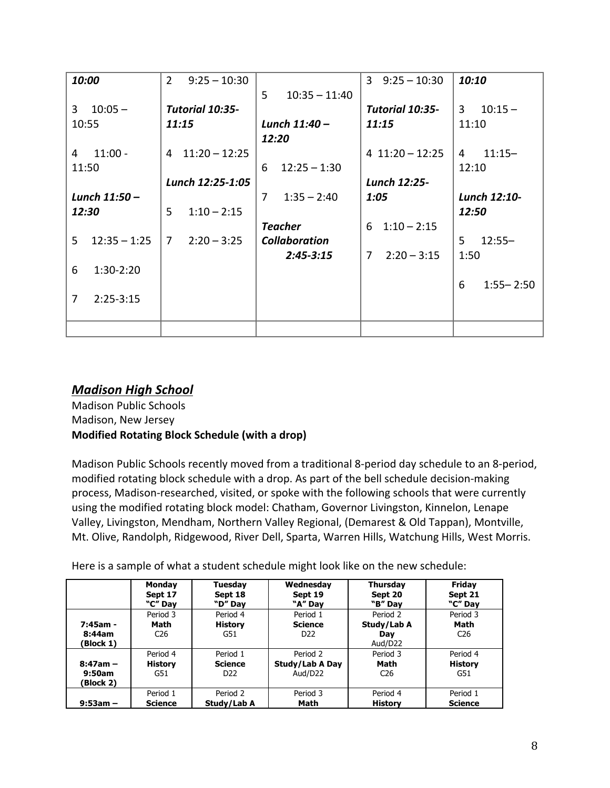| 10:00 |                | $\overline{2}$ | $9:25 - 10:30$   |       |                      | $\mathbf{3}$   | $9:25 - 10:30$    | 10:10        |               |
|-------|----------------|----------------|------------------|-------|----------------------|----------------|-------------------|--------------|---------------|
|       |                |                |                  | 5     | $10:35 - 11:40$      |                |                   |              |               |
| 3     | $10:05 -$      |                | Tutorial 10:35-  |       |                      |                | Tutorial 10:35-   | 3            | $10:15 -$     |
| 10:55 |                |                | 11:15            |       | Lunch 11:40-         |                | 11:15             | 11:10        |               |
|       |                |                |                  | 12:20 |                      |                |                   |              |               |
| 4     | $11:00 -$      | 4              | $11:20 - 12:25$  |       |                      |                | $4$ 11:20 - 12:25 | 4            | $11:15-$      |
| 11:50 |                |                |                  | 6     | $12:25 - 1:30$       |                |                   | 12:10        |               |
|       |                |                | Lunch 12:25-1:05 |       |                      |                | Lunch 12:25-      |              |               |
|       | Lunch 11:50 -  |                |                  | 7     | $1:35 - 2:40$        | 1:05           |                   | Lunch 12:10- |               |
| 12:30 |                | 5              | $1:10 - 2:15$    |       |                      |                |                   | 12:50        |               |
|       |                |                |                  |       | <b>Teacher</b>       | 6              | $1:10 - 2:15$     |              |               |
| 5.    | $12:35 - 1:25$ | 7              | $2:20 - 3:25$    |       | <b>Collaboration</b> |                |                   | 5            | $12:55 -$     |
|       |                |                |                  |       | $2:45 - 3:15$        | $\overline{7}$ | $2:20 - 3:15$     | 1:50         |               |
| 6     | $1:30-2:20$    |                |                  |       |                      |                |                   |              |               |
|       |                |                |                  |       |                      |                |                   | 6            | $1:55 - 2:50$ |
| 7     | $2:25-3:15$    |                |                  |       |                      |                |                   |              |               |
|       |                |                |                  |       |                      |                |                   |              |               |
|       |                |                |                  |       |                      |                |                   |              |               |

### *Madison High School*

Madison Public Schools Madison, New Jersey **Modified Rotating Block Schedule (with a drop)** 

Madison Public Schools recently moved from a traditional 8-period day schedule to an 8-period, modified rotating block schedule with a drop. As part of the bell schedule decision-making process, Madison-researched, visited, or spoke with the following schools that were currently using the modified rotating block model: Chatham, Governor Livingston, Kinnelon, Lenape Valley, Livingston, Mendham, Northern Valley Regional, (Demarest & Old Tappan), Montville, Mt. Olive, Randolph, Ridgewood, River Dell, Sparta, Warren Hills, Watchung Hills, West Morris.

Here is a sample of what a student schedule might look like on the new schedule:

|                                 | <b>Monday</b>                       | Tuesday                           | Wednesday                                     | <b>Thursday</b>                           | <b>Friday</b>                       |
|---------------------------------|-------------------------------------|-----------------------------------|-----------------------------------------------|-------------------------------------------|-------------------------------------|
|                                 | Sept 17                             | Sept 18                           | Sept 19                                       | Sept 20                                   | Sept 21                             |
|                                 | "C" Day                             | "D" Day                           | "A" Dav                                       | "B" Dav                                   | "C" Dav                             |
| 7:45am -<br>8:44am<br>(Block 1) | Period 3<br>Math<br>C <sub>26</sub> | Period 4<br><b>History</b><br>G51 | Period 1<br><b>Science</b><br>D <sub>22</sub> | Period 2<br>Study/Lab A<br>Dav<br>Aud/D22 | Period 3<br>Math<br>C <sub>26</sub> |
| $8:47am -$                      | Period 4                            | Period 1                          | Period 2                                      | Period 3                                  | Period 4                            |
| 9:50am                          | <b>History</b>                      | <b>Science</b>                    | Study/Lab A Day                               | Math                                      | <b>History</b>                      |
| (Block 2)                       | G51                                 | D <sub>22</sub>                   | Aud/D22                                       | C <sub>26</sub>                           | G51                                 |
| $9:53am -$                      | Period 1                            | Period 2                          | Period 3                                      | Period 4                                  | Period 1                            |
|                                 | <b>Science</b>                      | Study/Lab A                       | Math                                          | <b>History</b>                            | <b>Science</b>                      |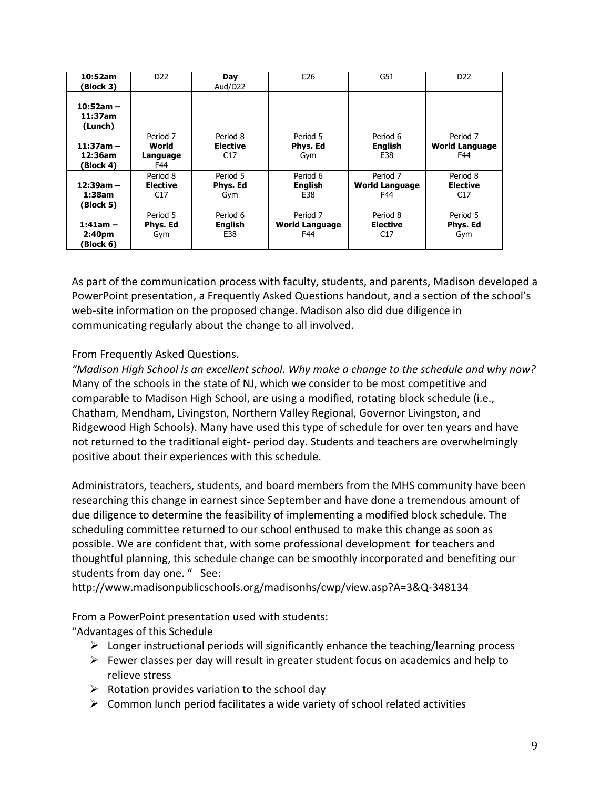| 10:52am<br>(Block 3)                          | D <sub>22</sub>                      | Day<br>Aud/D22                     | C <sub>26</sub>                          | G51                                      | D <sub>22</sub>                          |
|-----------------------------------------------|--------------------------------------|------------------------------------|------------------------------------------|------------------------------------------|------------------------------------------|
| $10:52am -$<br>11:37am<br>(Lunch)             |                                      |                                    |                                          |                                          |                                          |
| $11:37am -$<br>12:36am<br>(Block 4)           | Period 7<br>World<br>Language<br>F44 | Period 8<br><b>Elective</b><br>C17 | Period 5<br>Phys. Ed<br>Gym              | Period 6<br><b>English</b><br>E38        | Period 7<br><b>World Language</b><br>F44 |
| $12:39am -$<br>1:38am<br>(Block 5)            | Period 8<br><b>Elective</b><br>C17   | Period 5<br>Phys. Ed<br>Gym        | Period 6<br><b>English</b><br>E38        | Period 7<br><b>World Language</b><br>F44 | Period 8<br><b>Elective</b><br>C17       |
| $1:41am -$<br>2:40 <sub>pm</sub><br>(Block 6) | Period 5<br>Phys. Ed<br>Gym          | Period 6<br>English<br>E38         | Period 7<br><b>World Language</b><br>F44 | Period 8<br><b>Elective</b><br>C17       | Period 5<br>Phys. Ed<br>Gym              |

As part of the communication process with faculty, students, and parents, Madison developed a PowerPoint presentation, a Frequently Asked Questions handout, and a section of the school's web-site information on the proposed change. Madison also did due diligence in communicating regularly about the change to all involved.

From Frequently Asked Questions.

"Madison High School is an excellent school. Why make a change to the schedule and why now? Many of the schools in the state of NJ, which we consider to be most competitive and comparable to Madison High School, are using a modified, rotating block schedule (i.e., Chatham, Mendham, Livingston, Northern Valley Regional, Governor Livingston, and Ridgewood High Schools). Many have used this type of schedule for over ten years and have not returned to the traditional eight- period day. Students and teachers are overwhelmingly positive about their experiences with this schedule.

Administrators, teachers, students, and board members from the MHS community have been researching this change in earnest since September and have done a tremendous amount of due diligence to determine the feasibility of implementing a modified block schedule. The scheduling committee returned to our school enthused to make this change as soon as possible. We are confident that, with some professional development for teachers and thoughtful planning, this schedule change can be smoothly incorporated and benefiting our students from day one. " See:

http://www.madisonpublicschools.org/madisonhs/cwp/view.asp?A=3&Q-348134

From a PowerPoint presentation used with students: "Advantages of this Schedule

- $\triangleright$  Longer instructional periods will significantly enhance the teaching/learning process
- $\triangleright$  Fewer classes per day will result in greater student focus on academics and help to relieve stress
- $\triangleright$  Rotation provides variation to the school day
- $\triangleright$  Common lunch period facilitates a wide variety of school related activities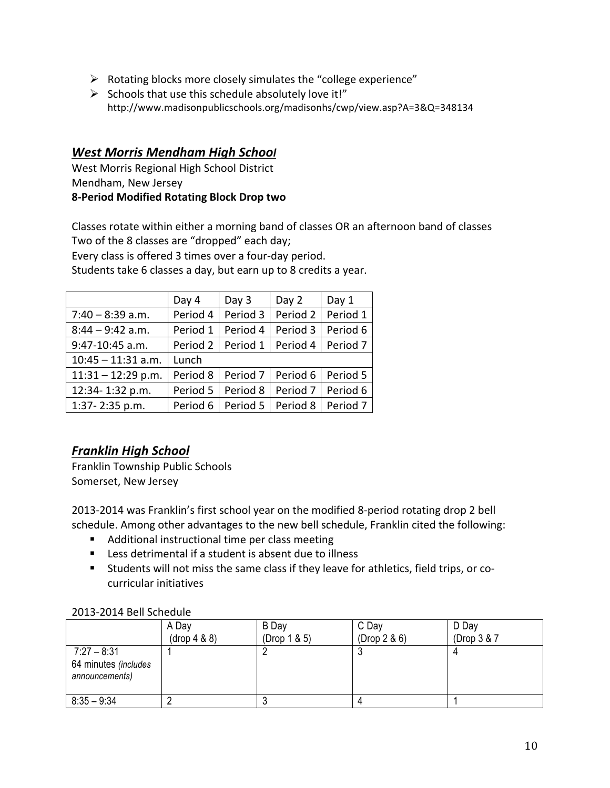- $\triangleright$  Rotating blocks more closely simulates the "college experience"
- $\triangleright$  Schools that use this schedule absolutely love it!" http://www.madisonpublicschools.org/madisonhs/cwp/view.asp?A=3&Q=348134

### *West Morris Mendham High School*

West Morris Regional High School District Mendham, New Jersey **8-Period Modified Rotating Block Drop two**

Classes rotate within either a morning band of classes OR an afternoon band of classes Two of the 8 classes are "dropped" each day;

Every class is offered 3 times over a four-day period.

Students take 6 classes a day, but earn up to 8 credits a year.

|                      | Day 4    | Day 3    | Day 2               | Day 1               |
|----------------------|----------|----------|---------------------|---------------------|
| $7:40 - 8:39$ a.m.   | Period 4 | Period 3 | Period 2            | Period 1            |
| $8:44 - 9:42$ a.m.   | Period 1 | Period 4 | Period 3            | Period 6            |
| 9:47-10:45 a.m.      | Period 2 | Period 1 | Period 4            | Period <sub>7</sub> |
| $10:45 - 11:31$ a.m. | Lunch    |          |                     |                     |
| $11:31 - 12:29$ p.m. | Period 8 | Period 7 | Period 6            | Period 5            |
| 12:34-1:32 p.m.      | Period 5 | Period 8 | Period <sub>7</sub> | Period 6            |
| 1:37 - 2:35 p.m.     | Period 6 |          | Period 5   Period 8 | Period <sub>7</sub> |

# **Franklin High School**

Franklin Township Public Schools Somerset, New Jersey

2013-2014 was Franklin's first school year on the modified 8-period rotating drop 2 bell schedule. Among other advantages to the new bell schedule, Franklin cited the following:

- Additional instructional time per class meeting
- Less detrimental if a student is absent due to illness
- Students will not miss the same class if they leave for athletics, field trips, or cocurricular initiatives

#### 2013-2014 Bell Schedule

|                                                         | A Day        | B Day           | C Day        | D Day       |
|---------------------------------------------------------|--------------|-----------------|--------------|-------------|
|                                                         | (drop 4 & 8) | (Drop $1 & 5$ ) | (Drop 2 & 6) | (Drop 3 & 7 |
| $7:27 - 8:31$<br>64 minutes (includes<br>announcements) |              |                 |              |             |
| $8:35 - 9:34$                                           |              |                 |              |             |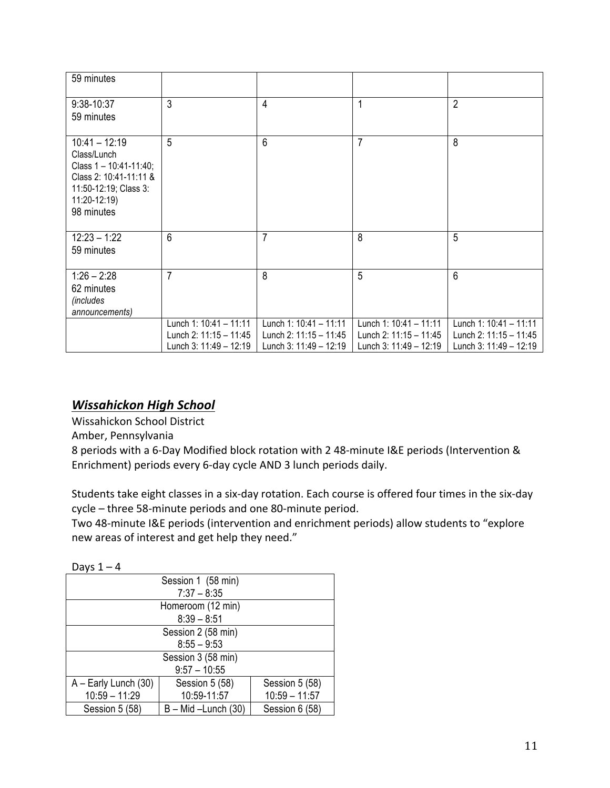| 59 minutes                                                                                                                                     |                                                                            |                                                                                |                                                                            |                                                                            |
|------------------------------------------------------------------------------------------------------------------------------------------------|----------------------------------------------------------------------------|--------------------------------------------------------------------------------|----------------------------------------------------------------------------|----------------------------------------------------------------------------|
| 9:38-10:37<br>59 minutes                                                                                                                       | 3                                                                          | 4                                                                              | 1                                                                          | $\overline{2}$                                                             |
| $10:41 - 12:19$<br>Class/Lunch<br>Class $1 - 10:41 - 11:40$ ;<br>Class 2: 10:41-11:11 &<br>11:50-12:19; Class 3:<br>11:20-12:19)<br>98 minutes | 5                                                                          | 6                                                                              | $\overline{7}$                                                             | 8                                                                          |
| $12:23 - 1:22$<br>59 minutes                                                                                                                   | $6\phantom{1}$                                                             | $\overline{7}$                                                                 | 8                                                                          | 5                                                                          |
| $1:26 - 2:28$<br>62 minutes<br><i>(includes</i><br>announcements)                                                                              | 7                                                                          | 8                                                                              | 5                                                                          | 6                                                                          |
|                                                                                                                                                | Lunch 1: 10:41 - 11:11<br>Lunch 2: 11:15 - 11:45<br>Lunch 3: 11:49 - 12:19 | Lunch 1: $10:41 - 11:11$<br>Lunch 2: $11:15 - 11:45$<br>Lunch 3: 11:49 - 12:19 | Lunch 1: 10:41 - 11:11<br>Lunch 2: 11:15 - 11:45<br>Lunch 3: 11:49 - 12:19 | Lunch 1: 10:41 - 11:11<br>Lunch 2: 11:15 - 11:45<br>Lunch 3: 11:49 - 12:19 |

# *Wissahickon High School*

Wissahickon School District

Amber, Pennsylvania

8 periods with a 6-Day Modified block rotation with 2 48-minute I&E periods (Intervention & Enrichment) periods every 6-day cycle AND 3 lunch periods daily.

Students take eight classes in a six-day rotation. Each course is offered four times in the six-day cycle - three 58-minute periods and one 80-minute period.

Two 48-minute I&E periods (intervention and enrichment periods) allow students to "explore new areas of interest and get help they need."

| Days $1 - 4$         |                        |                 |  |  |  |
|----------------------|------------------------|-----------------|--|--|--|
| Session 1 (58 min)   |                        |                 |  |  |  |
|                      | $7:37 - 8:35$          |                 |  |  |  |
|                      | Homeroom (12 min)      |                 |  |  |  |
|                      | $8:39 - 8:51$          |                 |  |  |  |
| Session 2 (58 min)   |                        |                 |  |  |  |
| $8:55 - 9:53$        |                        |                 |  |  |  |
| Session 3 (58 min)   |                        |                 |  |  |  |
| $9:57 - 10:55$       |                        |                 |  |  |  |
| A - Early Lunch (30) | Session 5 (58)         | Session 5 (58)  |  |  |  |
| $10:59 - 11:29$      | 10:59-11:57            | $10:59 - 11:57$ |  |  |  |
| Session 5 (58)       | $B - Mid - Lunch (30)$ | Session 6 (58)  |  |  |  |